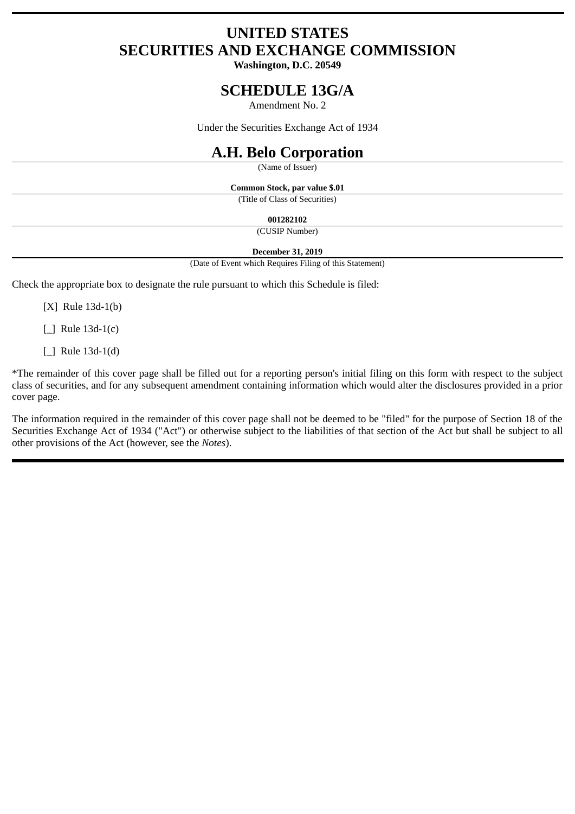# **UNITED STATES SECURITIES AND EXCHANGE COMMISSION**

**Washington, D.C. 20549**

## **SCHEDULE 13G/A**

Amendment No. 2

Under the Securities Exchange Act of 1934

## **A.H. Belo Corporation**

(Name of Issuer)

**Common Stock, par value \$.01**

(Title of Class of Securities)

**001282102**

(CUSIP Number)

#### **December 31, 2019**

(Date of Event which Requires Filing of this Statement)

Check the appropriate box to designate the rule pursuant to which this Schedule is filed:

[X] Rule 13d-1(b)

[\_] Rule 13d-1(c)

[\_] Rule 13d-1(d)

\*The remainder of this cover page shall be filled out for a reporting person's initial filing on this form with respect to the subject class of securities, and for any subsequent amendment containing information which would alter the disclosures provided in a prior cover page.

The information required in the remainder of this cover page shall not be deemed to be "filed" for the purpose of Section 18 of the Securities Exchange Act of 1934 ("Act") or otherwise subject to the liabilities of that section of the Act but shall be subject to all other provisions of the Act (however, see the *Notes*).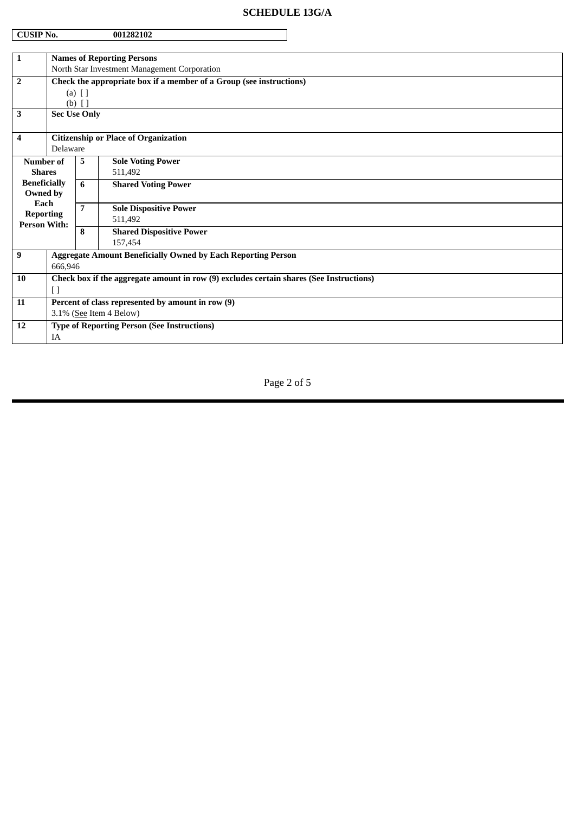## **SCHEDULE 13G/A**

| <b>CUSIP No.</b><br>001282102           |                                                                                         |                |                                                                     |  |  |
|-----------------------------------------|-----------------------------------------------------------------------------------------|----------------|---------------------------------------------------------------------|--|--|
|                                         |                                                                                         |                |                                                                     |  |  |
| 1                                       | <b>Names of Reporting Persons</b>                                                       |                |                                                                     |  |  |
|                                         | North Star Investment Management Corporation                                            |                |                                                                     |  |  |
| $\overline{2}$                          | Check the appropriate box if a member of a Group (see instructions)                     |                |                                                                     |  |  |
|                                         | $(a)$ $[$ $]$<br>$(b)$ []                                                               |                |                                                                     |  |  |
| 3                                       | <b>Sec Use Only</b>                                                                     |                |                                                                     |  |  |
|                                         |                                                                                         |                |                                                                     |  |  |
| 4                                       | <b>Citizenship or Place of Organization</b>                                             |                |                                                                     |  |  |
|                                         | Delaware                                                                                |                |                                                                     |  |  |
| Number of                               |                                                                                         | 5.             | <b>Sole Voting Power</b>                                            |  |  |
| <b>Shares</b>                           |                                                                                         |                | 511,492                                                             |  |  |
| <b>Beneficially</b>                     |                                                                                         | 6              | <b>Shared Voting Power</b>                                          |  |  |
| Owned by<br>Each                        |                                                                                         |                |                                                                     |  |  |
| <b>Reporting</b><br><b>Person With:</b> |                                                                                         | $\overline{7}$ | <b>Sole Dispositive Power</b>                                       |  |  |
|                                         |                                                                                         |                | 511,492                                                             |  |  |
|                                         |                                                                                         | 8              | <b>Shared Dispositive Power</b>                                     |  |  |
|                                         |                                                                                         |                | 157,454                                                             |  |  |
| 9                                       |                                                                                         |                | <b>Aggregate Amount Beneficially Owned by Each Reporting Person</b> |  |  |
|                                         | 666,946                                                                                 |                |                                                                     |  |  |
| 10                                      | Check box if the aggregate amount in row (9) excludes certain shares (See Instructions) |                |                                                                     |  |  |
|                                         | $[ \ ]$                                                                                 |                |                                                                     |  |  |
| 11                                      | Percent of class represented by amount in row (9)                                       |                |                                                                     |  |  |
|                                         | 3.1% (See Item 4 Below)                                                                 |                |                                                                     |  |  |
| 12                                      | <b>Type of Reporting Person (See Instructions)</b>                                      |                |                                                                     |  |  |
|                                         | IA                                                                                      |                |                                                                     |  |  |

## Page 2 of 5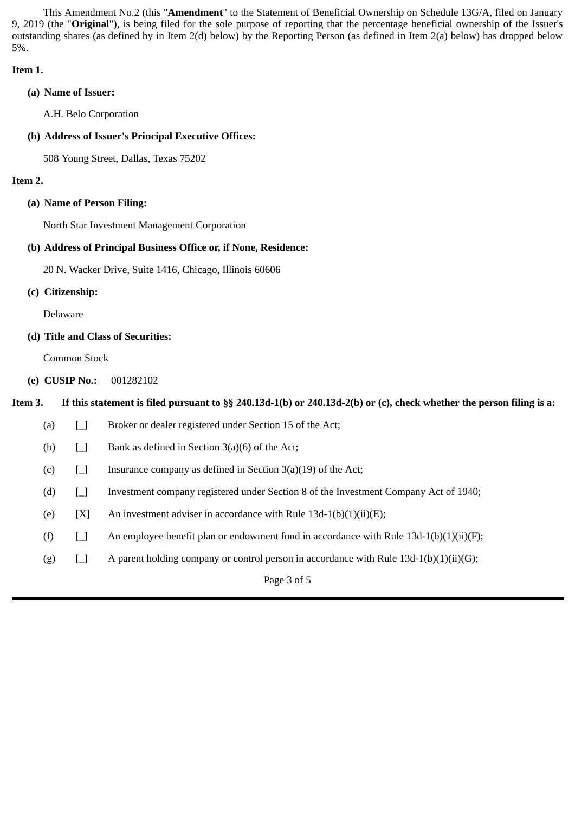This Amendment No.2 (this "**Amendment**" to the Statement of Beneficial Ownership on Schedule 13G/A, filed on January 9, 2019 (the "**Original**"), is being filed for the sole purpose of reporting that the percentage beneficial ownership of the Issuer's outstanding shares (as defined by in Item 2(d) below) by the Reporting Person (as defined in Item 2(a) below) has dropped below 5%.

### **Item 1.**

**(a) Name of Issuer:**

A.H. Belo Corporation

**(b) Address of Issuer's Principal Executive Offices:**

508 Young Street, Dallas, Texas 75202

## **Item 2.**

**(a) Name of Person Filing:**

North Star Investment Management Corporation

## **(b) Address of Principal Business Office or, if None, Residence:**

20 N. Wacker Drive, Suite 1416, Chicago, Illinois 60606

**(c) Citizenship:**

Delaware

**(d) Title and Class of Securities:**

Common Stock

**(e) CUSIP No.:** 001282102

## **Item 3. If this statement is filed pursuant to §§ 240.13d-1(b) or 240.13d-2(b) or (c), check whether the person filing is a:**

| (a)         | $\Box$ | Broker or dealer registered under Section 15 of the Act;                                  |  |  |
|-------------|--------|-------------------------------------------------------------------------------------------|--|--|
| (b)         | $\Box$ | Bank as defined in Section $3(a)(6)$ of the Act;                                          |  |  |
| (c)         | $\Box$ | Insurance company as defined in Section $3(a)(19)$ of the Act;                            |  |  |
| (d)         | $\Box$ | Investment company registered under Section 8 of the Investment Company Act of 1940;      |  |  |
| (e)         | [X]    | An investment adviser in accordance with Rule $13d-1(b)(1)(ii)(E)$ ;                      |  |  |
| (f)         | $\Box$ | An employee benefit plan or endowment fund in accordance with Rule $13d-1(b)(1)(ii)(F)$ ; |  |  |
| (g)         | $\Box$ | A parent holding company or control person in accordance with Rule $13d-1(b)(1)(ii)(G)$ ; |  |  |
| Page 3 of 5 |        |                                                                                           |  |  |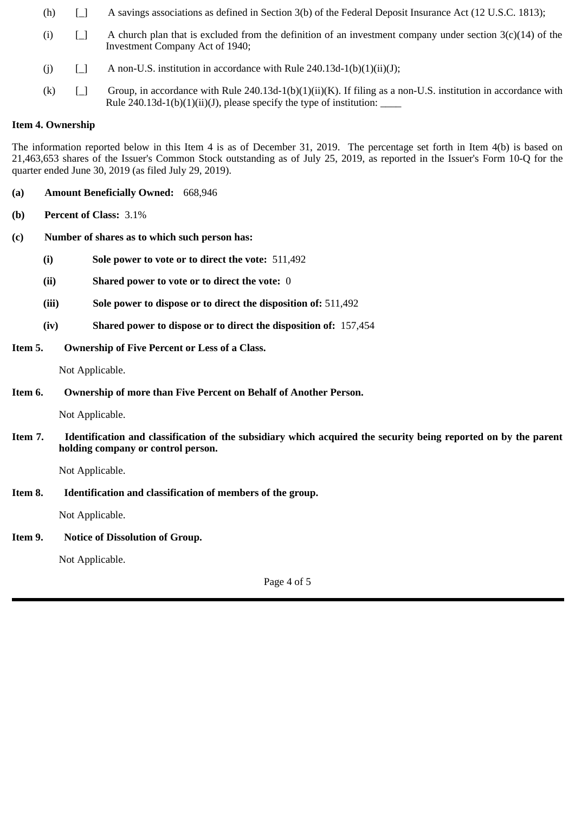- (h) [\_] A savings associations as defined in Section 3(b) of the Federal Deposit Insurance Act (12 U.S.C. 1813);
- (i)  $\Box$  A church plan that is excluded from the definition of an investment company under section 3(c)(14) of the Investment Company Act of 1940;
- (j)  $\Box$  A non-U.S. institution in accordance with Rule 240.13d-1(b)(1)(ii)(J);
- (k)  $\Box$  Group, in accordance with Rule 240.13d-1(b)(1)(ii)(K). If filing as a non-U.S. institution in accordance with Rule 240.13d-1(b)(1)(ii)(J), please specify the type of institution:

### **Item 4. Ownership**

The information reported below in this Item 4 is as of December 31, 2019. The percentage set forth in Item 4(b) is based on 21,463,653 shares of the Issuer's Common Stock outstanding as of July 25, 2019, as reported in the Issuer's Form 10-Q for the quarter ended June 30, 2019 (as filed July 29, 2019).

- **(a) Amount Beneficially Owned:** 668,946
- **(b) Percent of Class:** 3.1%
- **(c) Number of shares as to which such person has:**
	- **(i) Sole power to vote or to direct the vote:** 511,492
	- **(ii) Shared power to vote or to direct the vote:** 0
	- **(iii) Sole power to dispose or to direct the disposition of:** 511,492
	- **(iv) Shared power to dispose or to direct the disposition of:** 157,454
- **Item 5. Ownership of Five Percent or Less of a Class.**

Not Applicable.

**Item 6. Ownership of more than Five Percent on Behalf of Another Person.**

Not Applicable.

**Item 7. Identification and classification of the subsidiary which acquired the security being reported on by the parent holding company or control person.**

Not Applicable.

**Item 8. Identification and classification of members of the group.**

Not Applicable.

**Item 9. Notice of Dissolution of Group.**

Not Applicable.

Page 4 of 5